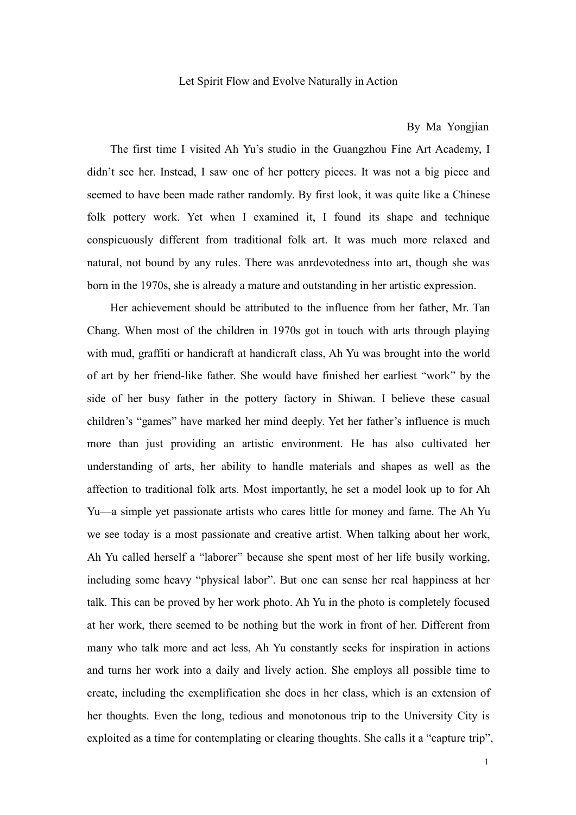### Let Spirit Flow and Evolve Naturally in Action

## By Ma Yongjian

The first time I visited Ah Yu's studio in the Guangzhou Fine Art Academy, I didn't see her. Instead, I saw one of her pottery pieces. It was not a big piece and seemed to have been made rather randomly. By first look, it was quite like a Chinese folk pottery work. Yet when I examined it, I found its shape and technique conspicuously different from traditional folk art. It was much more relaxed and natural, not bound by any rules. There was anrdevotedness into art, though she was born in the 1970s, she is already a mature and outstanding in her artistic expression.

Her achievement should be attributed to the influence from her father, Mr. Tan Chang. When most of the children in 1970s got in touch with arts through playing with mud, graffiti or handicraft at handicraft class, Ah Yu was brought into the world of art by her friend-like father. She would have finished her earliest "work" by the side of her busy father in the pottery factory in Shiwan. I believe these casual children's "games" have marked her mind deeply. Yet her father's influence is much more than just providing an artistic environment. He has also cultivated her understanding of arts, her ability to handle materials and shapes as well as the affection to traditional folk arts. Most importantly, he set a model look up to for Ah Yu—a simple yet passionate artists who cares little for money and fame. The Ah Yu we see today is a most passionate and creative artist. When talking about her work, Ah Yu called herself a "laborer" because she spent most of her life busily working, including some heavy "physical labor". But one can sense her real happiness at her talk. This can be proved by her work photo. Ah Yu in the photo is completely focused at her work, there seemed to be nothing but the work in front of her. Different from many who talk more and act less, Ah Yu constantly seeks for inspiration in actions and turns her work into a daily and lively action. She employs all possible time to create, including the exemplification she does in her class, which is an extension of her thoughts. Even the long, tedious and monotonous trip to the University City is exploited as a time for contemplating or clearing thoughts. She calls it a "capture trip",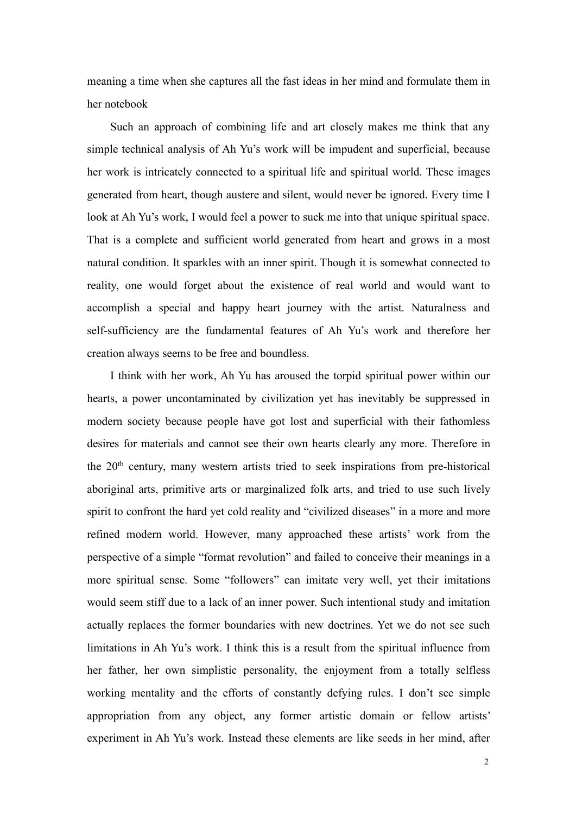meaning a time when she captures all the fast ideas in her mind and formulate them in her notebook

Such an approach of combining life and art closely makes me think that any simple technical analysis of Ah Yu's work will be impudent and superficial, because her work is intricately connected to a spiritual life and spiritual world. These images generated from heart, though austere and silent, would never be ignored. Every time I look at Ah Yu's work, I would feel a power to suck me into that unique spiritual space. That is a complete and sufficient world generated from heart and grows in a most natural condition. It sparkles with an inner spirit. Though it is somewhat connected to reality, one would forget about the existence of real world and would want to accomplish a special and happy heart journey with the artist. Naturalness and self-sufficiency are the fundamental features of Ah Yu's work and therefore her creation always seems to be free and boundless.

I think with her work, Ah Yu has aroused the torpid spiritual power within our hearts, a power uncontaminated by civilization yet has inevitably be suppressed in modern society because people have got lost and superficial with their fathomless desires for materials and cannot see their own hearts clearly any more. Therefore in the 20th century, many western artists tried to seek inspirations from pre-historical aboriginal arts, primitive arts or marginalized folk arts, and tried to use such lively spirit to confront the hard yet cold reality and "civilized diseases" in a more and more refined modern world. However, many approached these artists' work from the perspective of a simple "format revolution" and failed to conceive their meanings in a more spiritual sense. Some "followers" can imitate very well, yet their imitations would seem stiff due to a lack of an inner power. Such intentional study and imitation actually replaces the former boundaries with new doctrines. Yet we do not see such limitations in Ah Yu's work. I think this is a result from the spiritual influence from her father, her own simplistic personality, the enjoyment from a totally selfless working mentality and the efforts of constantly defying rules. I don't see simple appropriation from any object, any former artistic domain or fellow artists' experiment in Ah Yu's work. Instead these elements are like seeds in her mind, after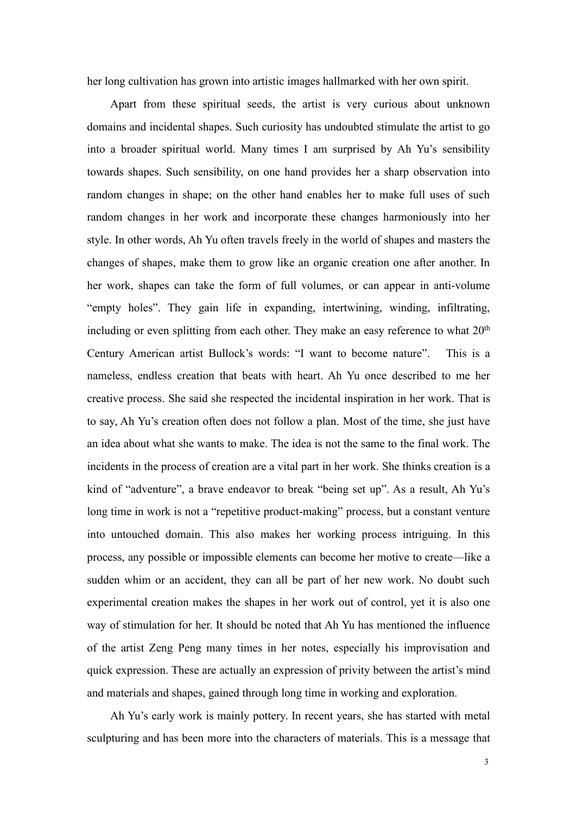her long cultivation has grown into artistic images hallmarked with her own spirit.

Apart from these spiritual seeds, the artist is very curious about unknown domains and incidental shapes. Such curiosity has undoubted stimulate the artist to go into a broader spiritual world. Many times I am surprised by Ah Yu's sensibility towards shapes. Such sensibility, on one hand provides her a sharp observation into random changes in shape; on the other hand enables her to make full uses of such random changes in her work and incorporate these changes harmoniously into her style. In other words, Ah Yu often travels freely in the world of shapes and masters the changes of shapes, make them to grow like an organic creation one after another. In her work, shapes can take the form of full volumes, or can appear in anti-volume "empty holes". They gain life in expanding, intertwining, winding, infiltrating, including or even splitting from each other. They make an easy reference to what 20<sup>th</sup> Century American artist Bullock's words: "I want to become nature". This is a nameless, endless creation that beats with heart. Ah Yu once described to me her creative process. She said she respected the incidental inspiration in her work. That is to say, Ah Yu's creation often does not follow a plan. Most of the time, she just have an idea about what she wants to make. The idea is not the same to the final work. The incidents in the process of creation are a vital part in her work. She thinks creation is a kind of "adventure", a brave endeavor to break "being set up". As a result, Ah Yu's long time in work is not a "repetitive product-making" process, but a constant venture into untouched domain. This also makes her working process intriguing. In this process, any possible or impossible elements can become her motive to create—like a sudden whim or an accident, they can all be part of her new work. No doubt such experimental creation makes the shapes in her work out of control, yet it is also one way of stimulation for her. It should be noted that Ah Yu has mentioned the influence of the artist Zeng Peng many times in her notes, especially his improvisation and quick expression.These are actually an expression of privity between the artist's mind and materials and shapes, gained through long time in working and exploration.

Ah Yu's early work is mainly pottery. In recent years, she has started with metal sculpturing and has been more into the characters of materials. This is a message that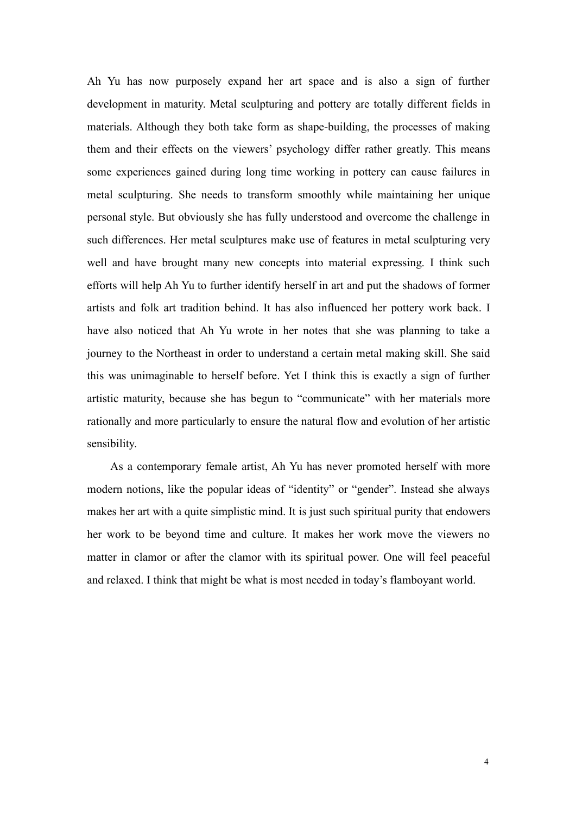Ah Yu has now purposely expand her art space and is also a sign of further development in maturity. Metal sculpturing and pottery are totally different fields in materials. Although they both take form as shape-building, the processes of making them and their effects on the viewers' psychology differ rather greatly. This means some experiences gained during long time working in pottery can cause failures in metal sculpturing. She needs to transform smoothly while maintaining her unique personal style. But obviously she has fully understood and overcome the challenge in such differences. Her metal sculptures make use of features in metal sculpturing very well and have brought many new concepts into material expressing. I think such efforts will help Ah Yu to further identify herself in art and put the shadows of former artists and folk art tradition behind. It has also influenced her pottery work back. I have also noticed that Ah Yu wrote in her notes that she was planning to take a journey to the Northeast in order to understand a certain metal making skill. She said this was unimaginable to herself before. Yet I think this is exactly a sign of further artistic maturity, because she has begun to "communicate" with her materials more rationally and more particularly to ensure the natural flow and evolution of her artistic sensibility.

As a contemporary female artist, Ah Yu has never promoted herself with more modern notions, like the popular ideas of "identity" or "gender". Instead she always makes her art with a quite simplistic mind. It is just such spiritual purity that endowers her work to be beyond time and culture. It makes her work move the viewers no matter in clamor or after the clamor with its spiritual power. One will feel peaceful and relaxed. I think that might be what is most needed in today's flamboyant world.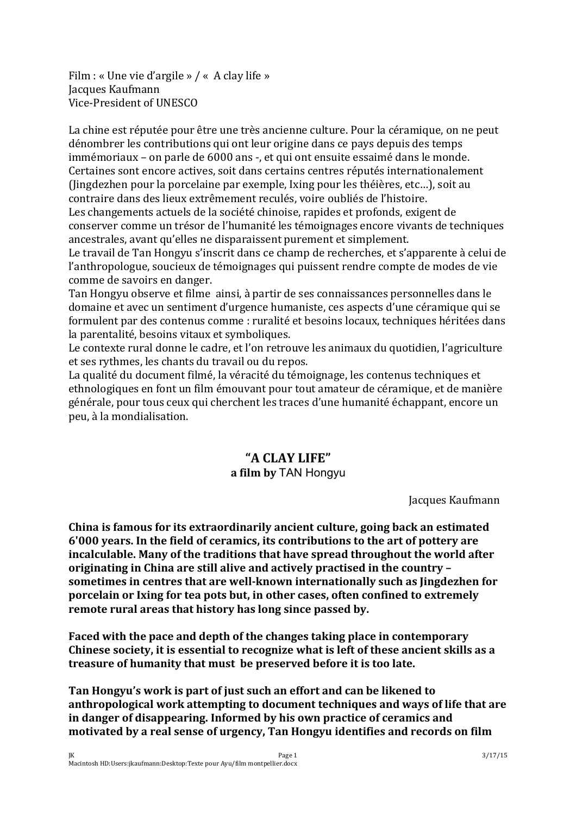Film : « Une vie d'argile » / « A clay life » Jacques Kaufmann Vice-President of UNESCO

La chine est réputée pour être une très ancienne culture. Pour la céramique, on ne peut dénombrer les contributions qui ont leur origine dans ce pays depuis des temps immémoriaux – on parle de 6000 ans -, et qui ont ensuite essaimé dans le monde. Certaines sont encore actives, soit dans certains centres réputés internationalement (Jingdezhen pour la porcelaine par exemple, Ixing pour les théières, etc…), soit au contraire dans des lieux extrêmement reculés, voire oubliés de l'histoire.

Les changements actuels de la société chinoise, rapides et profonds, exigent de conserver comme un trésor de l'humanité les témoignages encore vivants de techniques ancestrales, avant qu'elles ne disparaissent purement et simplement.

Le travail de Tan Hongyu s'inscrit dans ce champ de recherches, et s'apparente à celui de l'anthropologue, soucieux de témoignages qui puissent rendre compte de modes de vie comme de savoirs en danger.

Tan Hongyu observe et filme ainsi, à partir de ses connaissances personnelles dans le domaine et avec un sentiment d'urgence humaniste, ces aspects d'une céramique qui se formulent par des contenus comme : ruralité et besoins locaux, techniques héritées dans la parentalité, besoins vitaux et symboliques.

Le contexte rural donne le cadre, et l'on retrouve les animaux du quotidien, l'agriculture et ses rythmes, les chants du travail ou du repos.

La qualité du document filmé, la véracité du témoignage, les contenus techniques et ethnologiques en font un film émouvant pour tout amateur de céramique, et de manière générale, pour tous ceux qui cherchent les traces d'une humanité échappant, encore un peu, à la mondialisation.

# **"A CLAY LIFE"**

## **a film by** TAN Hongyu

Jacques Kaufmann

**China is famous for its extraordinarily ancient culture, going back an estimated 6'000 years. In the field of ceramics, its contributions to the art of pottery are incalculable. Many of the traditions that have spread throughout the world after originating in China are still alive and actively practised in the country – sometimes in centres that are well-known internationally such as Jingdezhen for porcelain or Ixing for tea pots but, in other cases, often confined to extremely remote rural areas that history has long since passed by.**

**Faced with the pace and depth of the changes taking place in contemporary Chinese society, it is essential to recognize what is leftof these ancient skills as a treasure of humanity that must be preserved before it is too late.**

**Tan Hongyu's work is part of just such an effort and can be likened to anthropological work attempting to document techniques and ways of life that are in danger of disappearing. Informed by his own practice of ceramics and motivated by a real sense of urgency, Tan Hongyu identifies and records on film**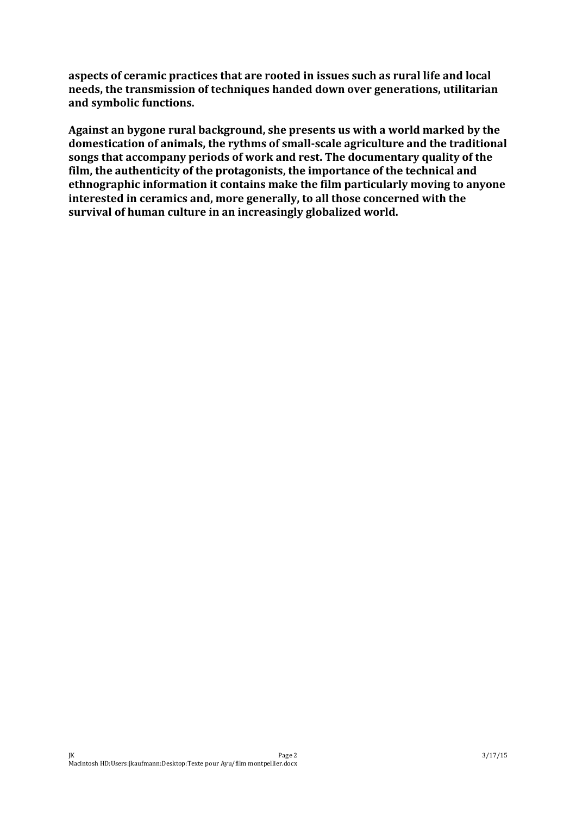**aspects of ceramic practices that are rooted in issues such as rural life and local needs, the transmission of techniques handed down over generations, utilitarian and symbolic functions.**

**Against an bygone rural background, she presents us with a world marked by the domestication of animals, the rythms of small-scale agriculture and the traditional songs that accompany periods of work and rest. The documentary quality of the film, the authenticity of the protagonists, the importance of the technical and ethnographic information it contains make the film particularly moving to anyone interested in ceramics and, more generally, to all those concerned with the survival of human culture in an increasingly globalized world.**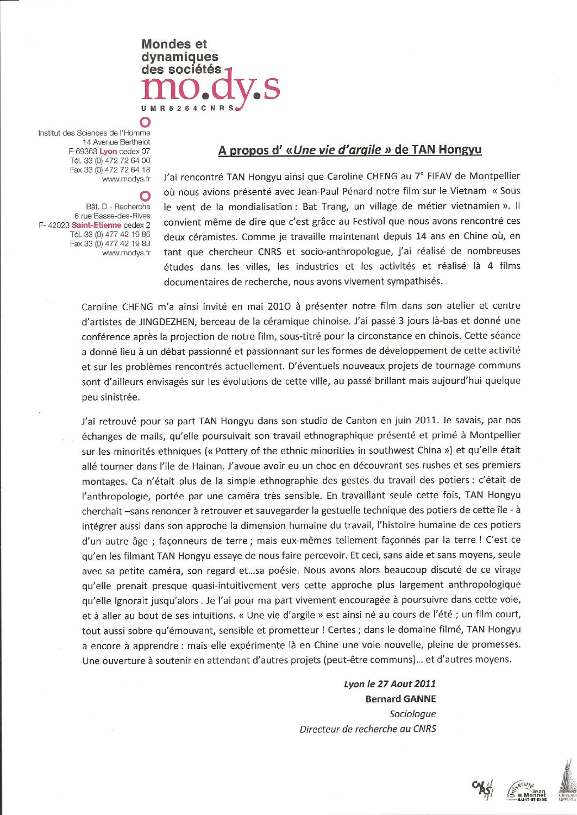

Institut des Sciences de l'Homme 14 Avenue Berthelot F-69363 Lyon cedex 07 Tél. 33 (0) 472 72 64 00 Fax 33 (0) 472 72 64 18 www.modys.fr

 $\bigcap$ 

O Bât. D - Recherche 6 rue Basse-des-Rives F-42023 Saint-Etienne cedex 2 Tél. 33 (0) 477 42 19 86 Fax 33 (0) 477 42 19 83 www.modys.fr

## A propos d'«Une vie d'argile » de TAN Hongyu

J'ai rencontré TAN Hongyu ainsi que Caroline CHENG au 7° FIFAV de Montpellier où nous avions présenté avec Jean-Paul Pénard notre film sur le Vietnam « Sous le vent de la mondialisation : Bat Trang, un village de métier vietnamien ». Il convient même de dire que c'est grâce au Festival que nous avons rencontré ces deux céramistes. Comme je travaille maintenant depuis 14 ans en Chine où, en tant que chercheur CNRS et socio-anthropologue, j'ai réalisé de nombreuses études dans les villes, les industries et les activités et réalisé là 4 films documentaires de recherche, nous avons vivement sympathisés.

Caroline CHENG m'a ainsi invité en mai 2010 à présenter notre film dans son atelier et centre d'artistes de JINGDEZHEN, berceau de la céramique chinoise. J'ai passé 3 jours là-bas et donné une conférence après la projection de notre film, sous-titré pour la circonstance en chinois. Cette séance a donné lieu à un débat passionné et passionnant sur les formes de développement de cette activité et sur les problèmes rencontrés actuellement. D'éventuels nouveaux projets de tournage communs sont d'ailleurs envisagés sur les évolutions de cette ville, au passé brillant mais aujourd'hui quelque peu sinistrée.

J'ai retrouvé pour sa part TAN Hongyu dans son studio de Canton en juin 2011. Je savais, par nos échanges de mails, qu'elle poursuivait son travail ethnographique présenté et primé à Montpellier sur les minorités ethniques (« Pottery of the ethnic minorities in southwest China ») et qu'elle était allé tourner dans l'ile de Hainan. J'avoue avoir eu un choc en découvrant ses rushes et ses premiers montages. Ca n'était plus de la simple ethnographie des gestes du travail des potiers : c'était de l'anthropologie, portée par une caméra très sensible. En travaillant seule cette fois, TAN Hongyu cherchait -sans renoncer à retrouver et sauvegarder la gestuelle technique des potiers de cette île - à intégrer aussi dans son approche la dimension humaine du travail, l'histoire humaine de ces potiers d'un autre âge ; façonneurs de terre ; mais eux-mêmes tellement façonnés par la terre ! C'est ce qu'en les filmant TAN Hongyu essaye de nous faire percevoir. Et ceci, sans aide et sans moyens, seule avec sa petite caméra, son regard et...sa poésie. Nous avons alors beaucoup discuté de ce virage qu'elle prenait presque quasi-intuitivement vers cette approche plus largement anthropologique qu'elle ignorait jusqu'alors . Je l'ai pour ma part vivement encouragée à poursuivre dans cette voie, et à aller au bout de ses intuitions. « Une vie d'argile » est ainsi né au cours de l'été ; un film court, tout aussi sobre qu'émouvant, sensible et prometteur ! Certes ; dans le domaine filmé, TAN Hongyu a encore à apprendre : mais elle expérimente là en Chine une voie nouvelle, pleine de promesses. Une ouverture à soutenir en attendant d'autres projets (peut-être communs) ... et d'autres moyens.

> Lyon le 27 Aout 2011 **Bernard GANNE** Sociologue Directeur de recherche au CNRS